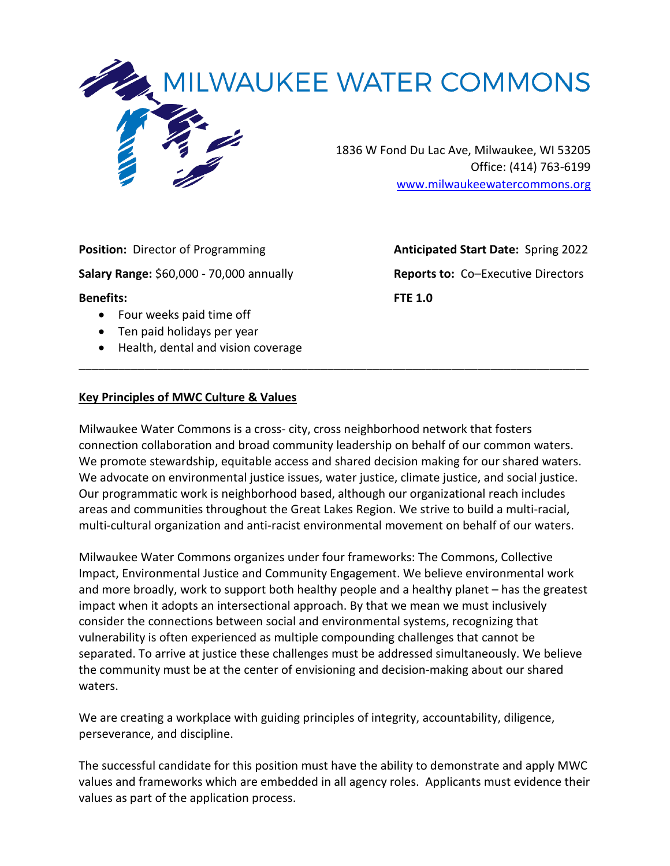

**Position:** Director of Programming **Anticipated Start Date:** Spring 2022 **Salary Range:** \$60,000 - 70,000 annually **Reports to:** Co–Executive Directors **Benefits: FTE 1.0**  • Four weeks paid time off

- Ten paid holidays per year
- Health, dental and vision coverage

#### **Key Principles of MWC Culture & Values**

Milwaukee Water Commons is a cross- city, cross neighborhood network that fosters connection collaboration and broad community leadership on behalf of our common waters. We promote stewardship, equitable access and shared decision making for our shared waters. We advocate on environmental justice issues, water justice, climate justice, and social justice. Our programmatic work is neighborhood based, although our organizational reach includes areas and communities throughout the Great Lakes Region. We strive to build a multi-racial, multi-cultural organization and anti-racist environmental movement on behalf of our waters.

\_\_\_\_\_\_\_\_\_\_\_\_\_\_\_\_\_\_\_\_\_\_\_\_\_\_\_\_\_\_\_\_\_\_\_\_\_\_\_\_\_\_\_\_\_\_\_\_\_\_\_\_\_\_\_\_\_\_\_\_\_\_\_\_\_\_\_\_\_\_\_\_\_\_\_\_\_\_

Milwaukee Water Commons organizes under four frameworks: The Commons, Collective Impact, Environmental Justice and Community Engagement. We believe environmental work and more broadly, work to support both healthy people and a healthy planet – has the greatest impact when it adopts an intersectional approach. By that we mean we must inclusively consider the connections between social and environmental systems, recognizing that vulnerability is often experienced as multiple compounding challenges that cannot be separated. To arrive at justice these challenges must be addressed simultaneously. We believe the community must be at the center of envisioning and decision-making about our shared waters.

We are creating a workplace with guiding principles of integrity, accountability, diligence, perseverance, and discipline.

The successful candidate for this position must have the ability to demonstrate and apply MWC values and frameworks which are embedded in all agency roles. Applicants must evidence their values as part of the application process.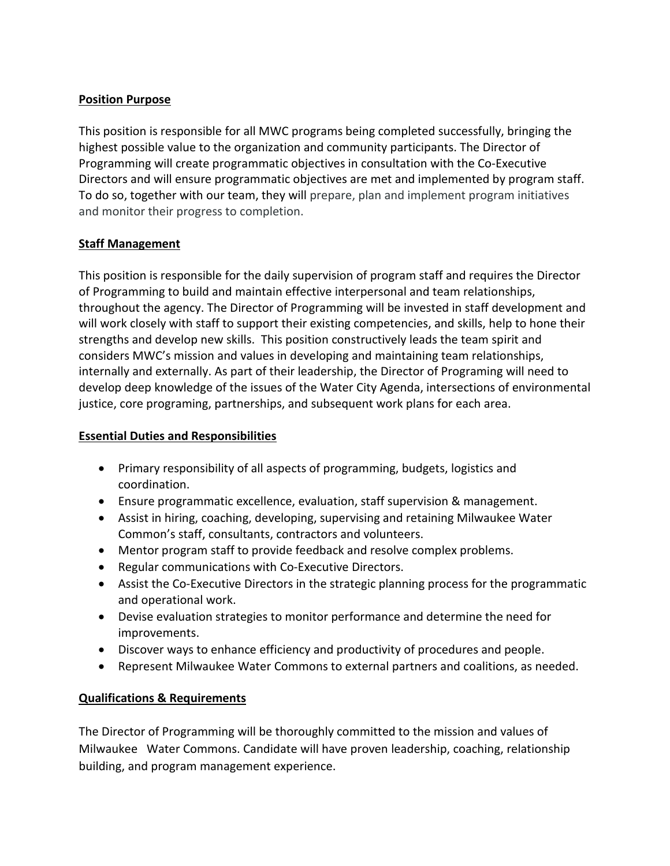## **Position Purpose**

This position is responsible for all MWC programs being completed successfully, bringing the highest possible value to the organization and community participants. The Director of Programming will create programmatic objectives in consultation with the Co-Executive Directors and will ensure programmatic objectives are met and implemented by program staff. To do so, together with our team, they will prepare, plan and implement program initiatives and monitor their progress to completion.

# **Staff Management**

This position is responsible for the daily supervision of program staff and requires the Director of Programming to build and maintain effective interpersonal and team relationships, throughout the agency. The Director of Programming will be invested in staff development and will work closely with staff to support their existing competencies, and skills, help to hone their strengths and develop new skills. This position constructively leads the team spirit and considers MWC's mission and values in developing and maintaining team relationships, internally and externally. As part of their leadership, the Director of Programing will need to develop deep knowledge of the issues of the Water City Agenda, intersections of environmental justice, core programing, partnerships, and subsequent work plans for each area.

## **Essential Duties and Responsibilities**

- Primary responsibility of all aspects of programming, budgets, logistics and coordination.
- Ensure programmatic excellence, evaluation, staff supervision & management.
- Assist in hiring, coaching, developing, supervising and retaining Milwaukee Water Common's staff, consultants, contractors and volunteers.
- Mentor program staff to provide feedback and resolve complex problems.
- Regular communications with Co-Executive Directors.
- Assist the Co-Executive Directors in the strategic planning process for the programmatic and operational work.
- Devise evaluation strategies to monitor performance and determine the need for improvements.
- Discover ways to enhance efficiency and productivity of procedures and people.
- Represent Milwaukee Water Commons to external partners and coalitions, as needed.

#### **Qualifications & Requirements**

The Director of Programming will be thoroughly committed to the mission and values of Milwaukee Water Commons. Candidate will have proven leadership, coaching, relationship building, and program management experience.